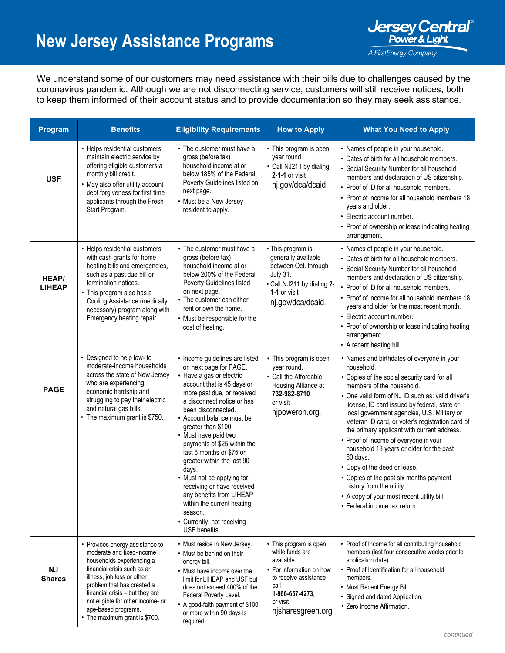## **New Jersey Assistance Programs**



We understand some of our customers may need assistance with their bills due to challenges caused by the coronavirus pandemic. Although we are not disconnecting service, customers will still receive notices, both to keep them informed of their account status and to provide documentation so they may seek assistance.

| Program                       | <b>Benefits</b>                                                                                                                                                                                                                                                                                                      | <b>Eligibility Requirements</b>                                                                                                                                                                                                                                                                                                                                                                                                                                                                                                                                     | <b>How to Apply</b>                                                                                                                                                      | <b>What You Need to Apply</b>                                                                                                                                                                                                                                                                                                                                                                                                                                                                                                                                                                                                                                                      |
|-------------------------------|----------------------------------------------------------------------------------------------------------------------------------------------------------------------------------------------------------------------------------------------------------------------------------------------------------------------|---------------------------------------------------------------------------------------------------------------------------------------------------------------------------------------------------------------------------------------------------------------------------------------------------------------------------------------------------------------------------------------------------------------------------------------------------------------------------------------------------------------------------------------------------------------------|--------------------------------------------------------------------------------------------------------------------------------------------------------------------------|------------------------------------------------------------------------------------------------------------------------------------------------------------------------------------------------------------------------------------------------------------------------------------------------------------------------------------------------------------------------------------------------------------------------------------------------------------------------------------------------------------------------------------------------------------------------------------------------------------------------------------------------------------------------------------|
| <b>USF</b>                    | • Helps residential customers<br>maintain electric service by<br>offering eligible customers a<br>monthly bill credit.<br>• May also offer utility account<br>debt forgiveness for first time<br>applicants through the Fresh<br>Start Program.                                                                      | • The customer must have a<br>gross (before tax)<br>household income at or<br>below 185% of the Federal<br>Poverty Guidelines listed on<br>next page.<br>• Must be a New Jersey<br>resident to apply.                                                                                                                                                                                                                                                                                                                                                               | • This program is open<br>year round.<br>• Call NJ211 by dialing<br>$2-1-1$ or visit<br>nj.gov/dca/dcaid.                                                                | • Names of people in your household.<br>• Dates of birth for all household members.<br>• Social Security Number for all household<br>members and declaration of US citizenship.<br>• Proof of ID for all household members.<br>• Proof of income for all household members 18<br>years and older.<br>• Electric account number.<br>• Proof of ownership or lease indicating heating<br>arrangement.                                                                                                                                                                                                                                                                                |
| <b>HEAP/</b><br><b>LIHEAP</b> | • Helps residential customers<br>with cash grants for home<br>heating bills and emergencies,<br>such as a past due bill or<br>termination notices.<br>• This program also has a<br>Cooling Assistance (medically<br>necessary) program along with<br>Emergency heating repair.                                       | • The customer must have a<br>gross (before tax)<br>household income at or<br>below 200% of the Federal<br>Poverty Guidelines listed<br>on next page. <sup>†</sup><br>• The customer can either<br>rent or own the home.<br>• Must be responsible for the<br>cost of heating.                                                                                                                                                                                                                                                                                       | • This program is<br>generally available<br>between Oct. through<br><b>July 31.</b><br>• Call NJ211 by dialing 2-<br>1-1 or visit<br>nj.gov/dca/dcaid.                   | • Names of people in your household.<br>• Dates of birth for all household members.<br>• Social Security Number for all household<br>members and declaration of US citizenship.<br>• Proof of ID for all household members.<br>• Proof of income for all household members 18<br>years and older for the most recent month.<br>• Electric account number.<br>• Proof of ownership or lease indicating heating<br>arrangement.<br>• A recent heating bill.                                                                                                                                                                                                                          |
| <b>PAGE</b>                   | • Designed to help low- to<br>moderate-income households<br>across the state of New Jersey<br>who are experiencing<br>economic hardship and<br>struggling to pay their electric<br>and natural gas bills.<br>• The maximum grant is \$750.                                                                           | • Income guidelines are listed<br>on next page for PAGE.<br>• Have a gas or electric<br>account that is 45 days or<br>more past due, or received<br>a disconnect notice or has<br>been disconnected.<br>• Account balance must be<br>greater than \$100.<br>• Must have paid two<br>payments of \$25 within the<br>last 6 months or \$75 or<br>greater within the last 90<br>days.<br>• Must not be applying for,<br>receiving or have received<br>any benefits from LIHEAP<br>within the current heating<br>season.<br>• Currently, not receiving<br>USF benefits. | • This program is open<br>year round.<br>• Call the Affordable<br>Housing Alliance at<br>732-982-8710<br>or visit<br>njpoweron.org.                                      | • Names and birthdates of everyone in your<br>household.<br>• Copies of the social security card for all<br>members of the household.<br>• One valid form of NJ ID such as: valid driver's<br>license, ID card issued by federal, state or<br>local government agencies, U.S. Military or<br>Veteran ID card, or voter's registration card of<br>the primary applicant with current address.<br>• Proof of income of everyone in your<br>household 18 years or older for the past<br>60 days.<br>• Copy of the deed or lease.<br>• Copies of the past six months payment<br>history from the utility.<br>• A copy of your most recent utility bill<br>• Federal income tax return. |
| <b>NJ</b><br><b>Shares</b>    | • Provides energy assistance to<br>moderate and fixed-income<br>households experiencing a<br>financial crisis such as an<br>illness, job loss or other<br>problem that has created a<br>financial crisis - but they are<br>not eligible for other income- or<br>age-based programs.<br>• The maximum grant is \$700. | • Must reside in New Jersey.<br>• Must be behind on their<br>energy bill.<br>• Must have income over the<br>limit for LIHEAP and USF but<br>does not exceed 400% of the<br>Federal Poverty Level.<br>• A good-faith payment of \$100<br>or more within 90 days is<br>required.                                                                                                                                                                                                                                                                                      | • This program is open<br>while funds are<br>available.<br>• For information on how<br>to receive assistance<br>call<br>1-866-657-4273,<br>or visit<br>njsharesgreen.org | • Proof of Income for all contributing household<br>members (last four consecutive weeks prior to<br>application date).<br>• Proof of Identification for all household<br>members.<br>• Most Recent Energy Bill.<br>• Signed and dated Application.<br>• Zero Income Affirmation.                                                                                                                                                                                                                                                                                                                                                                                                  |